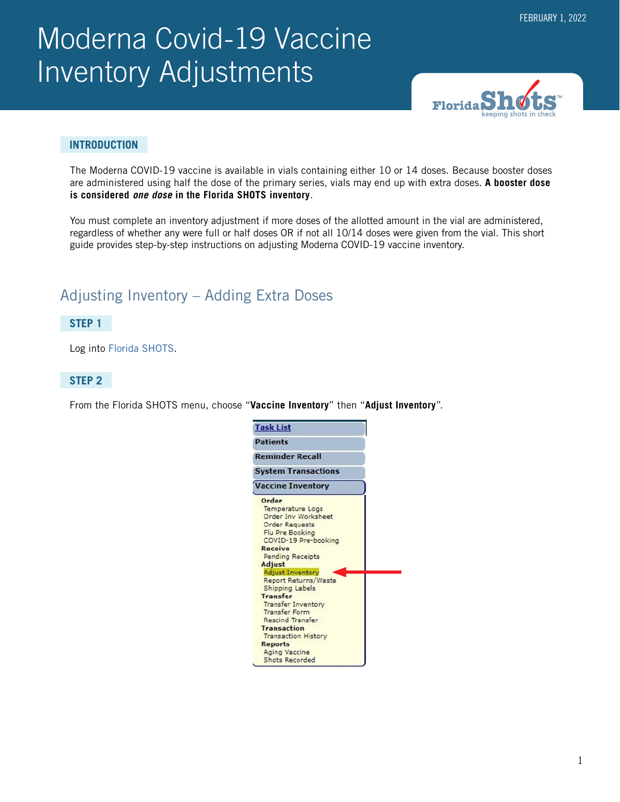# Moderna Covid-19 Vaccine Inventory Adjustments



#### **INTRODUCTION**

The Moderna COVID-19 vaccine is available in vials containing either 10 or 14 doses. Because booster doses are administered using half the dose of the primary series, vials may end up with extra doses. **A booster dose is considered** *one dose* **in the Florida SHOTS inventory**.

You must complete an inventory adjustment if more doses of the allotted amount in the vial are administered, regardless of whether any were full or half doses OR if not all 10/14 doses were given from the vial. This short guide provides step-by-step instructions on adjusting Moderna COVID-19 vaccine inventory.

# Adjusting Inventory – Adding Extra Doses

#### **STEP 1**

Log into [Florida SHOTS.](https://www.flshotsusers.com/)

#### **STEP 2**

From the Florida SHOTS menu, choose "**Vaccine Inventory**" then "**Adjust Inventory**".

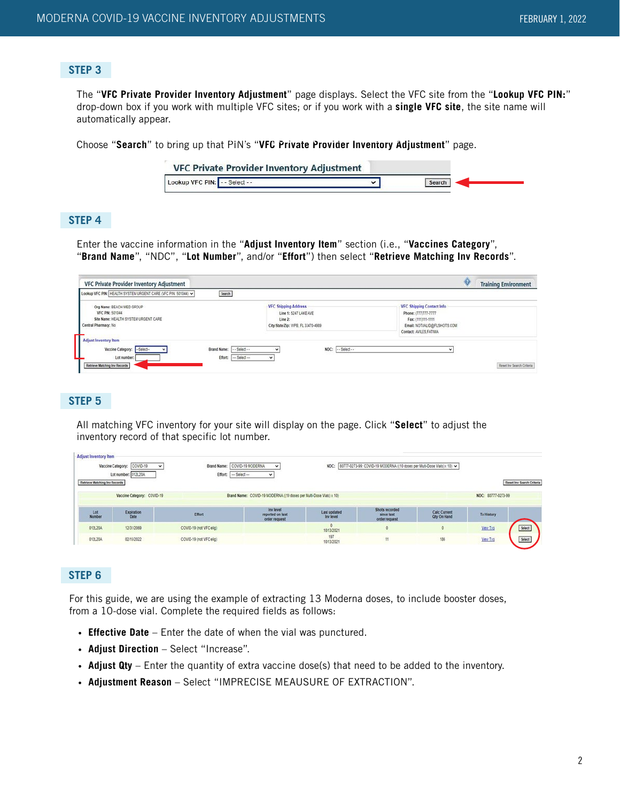#### **STEP 3**

The "**VFC Private Provider Inventory Adjustment**" page displays. Select the VFC site from the "**Lookup VFC PIN:**" drop-down box if you work with multiple VFC sites; or if you work with a **single VFC site**, the site name will automatically appear.

Choose "Search" to bring up that PIN's "VFC Private Provider Inventory Adjustment" page.

|                               | <b>VFC Private Provider Inventory Adjustment</b> |        |  |
|-------------------------------|--------------------------------------------------|--------|--|
| Lookup VFC PIN: -- Select - - |                                                  | Search |  |

#### **STEP 4**

Enter the vaccine information in the "**Adjust Inventory Item**" section (i.e., "**Vaccines Category**", "**Brand Name**", "NDC", "**Lot Number**", and/or "**Effort**") then select "**Retrieve Matching Inv Records**".

| VFC Private Provider Inventory Adjustment                                                                                        |                                                                                                       | <b>Training Environment</b>                                                                                                      |
|----------------------------------------------------------------------------------------------------------------------------------|-------------------------------------------------------------------------------------------------------|----------------------------------------------------------------------------------------------------------------------------------|
| Lookup VFC PIN: HEALTH SYSTEM URGENT CARE (VFC PIN: 501044) ~<br>Search                                                          |                                                                                                       |                                                                                                                                  |
| Org Name: BEACH MED GROUP<br><b>VFC PIN: 501044</b><br>Site Name: HEALTH SYSTEM URGENT CARE<br>Central Pharmacy: No              | <b>VFC Shipping Address</b><br>Line 1: 5247 LAKE AVE<br>Line 2:<br>City/State/Zip: WPB. FL 33470-4989 | VFC Shipping Contact Info<br>Phone: (777)777-7777<br>Fax: (111)111-1111<br>Email: NOTVALID@FLSHOTS.COM<br>Contact: AVILES.FATIMA |
| Adjust Inventory Item<br>Vaccine Category:<br>Brand Name:<br>-Select-<br>Effort:<br>Lot number:<br>Retrieve Matching Inv Records | NDC: -- Select--<br>$-$ Select $-$<br>v<br>$-$ Select $-$<br>$\checkmark$                             | $\overline{\phantom{a}}$<br>Reset Inv Search Criteria                                                                            |

### **STEP 5**

All matching VFC inventory for your site will display on the page. Click "**Select**" to adjust the inventory record of that specific lot number.

| <b>Adjust Inventory Item</b><br>Retrieve Matching Inv Records | Vaccine Category: COVID-19<br>$\checkmark$<br>Lot number: 012L20A | Brand Name:<br>Effort:  | COVID-19 MODERNA<br>$\checkmark$<br>--- Select ---<br>v             |                           | NDC: 80777-0273-99: COVID-19 MODERNA ((10 doses per Multi-Dose Vials) x 10) v |                                           |                    | Reset Inv Search Criteria |
|---------------------------------------------------------------|-------------------------------------------------------------------|-------------------------|---------------------------------------------------------------------|---------------------------|-------------------------------------------------------------------------------|-------------------------------------------|--------------------|---------------------------|
|                                                               | Vaccine Category: COVID-19                                        |                         | Brand Name: COVID-19 MODERNA ((10 doses per Multi-Dose Vials) x 10) |                           |                                                                               |                                           | NDC: 80777-0273-99 |                           |
| Lot<br>Number                                                 | Expiration<br>Date                                                | Effort                  | Inv level<br>reported on last<br>order request                      | Last updated<br>Inv level | Shots recorded<br>since last<br>order request                                 | <b>Calc Current</b><br><b>Qty On Hand</b> | <b>Tx History</b>  |                           |
| 0121204                                                       | 12/31/2069                                                        | COVID-19 (not VFC elig) |                                                                     | 10/13/2021                |                                                                               |                                           | View Txs           | Select                    |
| 0121,204                                                      | 02/15/2022                                                        | COVID-19 (not VFC elig) |                                                                     | 197<br>10/13/2021         | 11                                                                            | 186                                       | View Txs           | Select                    |

#### **STEP 6**

For this guide, we are using the example of extracting 13 Moderna doses, to include booster doses, from a 10-dose vial. Complete the required fields as follows:

- **Effective Date** Enter the date of when the vial was punctured.
- **Adjust Direction** Select "Increase".
- **Adjust Qty** Enter the quantity of extra vaccine dose(s) that need to be added to the inventory.
- **Adjustment Reason** Select "IMPRECISE MEAUSURE OF EXTRACTION".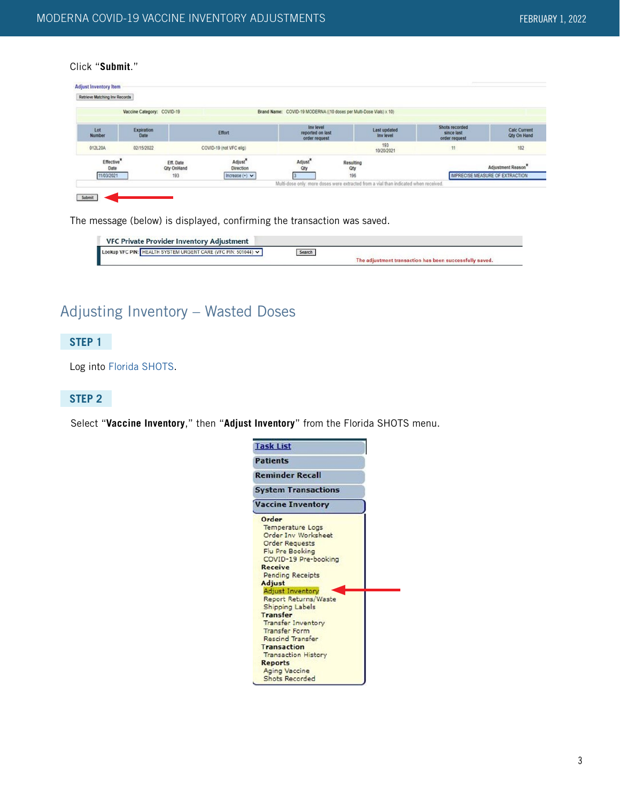#### Click "**Submit**."

| Retrieve Matching Inv Records  |                            |                                |                                  |                                                                                      |                  |                           |                                               |                                    |
|--------------------------------|----------------------------|--------------------------------|----------------------------------|--------------------------------------------------------------------------------------|------------------|---------------------------|-----------------------------------------------|------------------------------------|
|                                | Vaccine Category: COVID-19 |                                |                                  | Brand Name: COVID-19 MODERNA ((10 doses per Multi-Dose Vials) x 10)                  |                  |                           |                                               |                                    |
| Lot<br><b>Number</b>           | Expiration<br>Date         |                                | Effort                           | Inv level<br>reported on last<br>order request                                       |                  | Last updated<br>Inv level | Shots recorded<br>since last<br>order request | <b>Calc Current</b><br>Qty On Hand |
| 012L20A                        | 02/15/2022                 |                                | COVID-19 (not VFC elig)          |                                                                                      |                  | 193<br>10/20/2021         | 11                                            | 182                                |
| Effective <sup>3</sup><br>Date |                            | Eff. Date<br><b>Qty OnHand</b> | Adjust <sup>*</sup><br>Direction | Adjust <sup>2</sup><br>Oty                                                           | Resulting<br>Qty |                           |                                               | Adjustment Reason                  |
| 11/03/2021                     |                            | 193                            | Increase $(+)$ $\vee$            | Multi-dose only: more doses were extracted from a vial than indicated when received. | 196              |                           |                                               | IMPRECISE MEASURE OF EXTRACTION    |

The message (below) is displayed, confirming the transaction was saved.

| <b>VFC Private Provider Inventory Adjustment</b>              |        |                                                         |
|---------------------------------------------------------------|--------|---------------------------------------------------------|
| Lookup VFC PIN: HEALTH SYSTEM URGENT CARE (VFC PIN: 501044) V | Search |                                                         |
|                                                               |        | The adjustment transaction has been successfully saved. |

# Adjusting Inventory – Wasted Doses

# **STEP 1**

Log into [Florida SHOTS.](https://www.flshotsusers.com/)

#### **STEP 2**

Select "**Vaccine Inventory**," then "**Adjust Inventory**" from the Florida SHOTS menu.

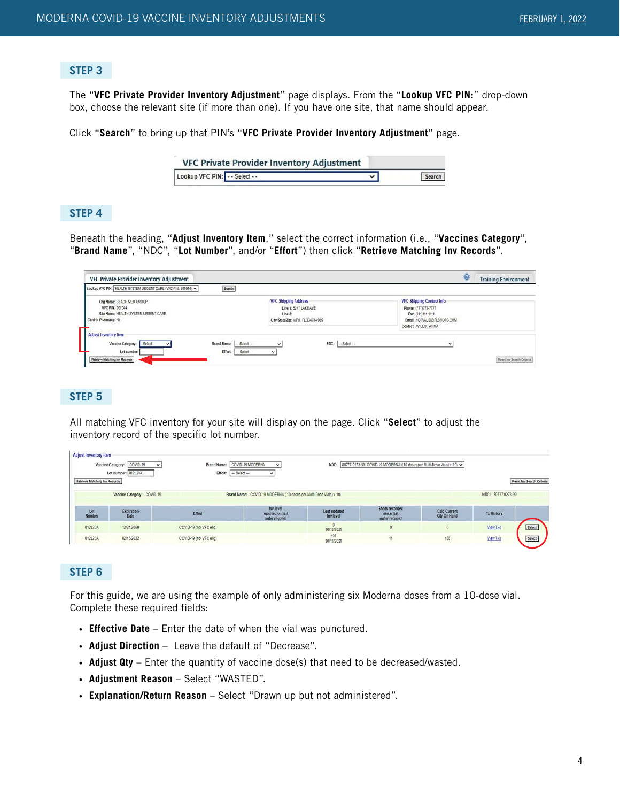#### **STEP 3**

The "**VFC Private Provider Inventory Adjustment**" page displays. From the "**Lookup VFC PIN:**" drop-down box, choose the relevant site (if more than one). If you have one site, that name should appear.

Click "**Search**" to bring up that PIN's "**VFC Private Provider Inventory Adjustment**" page.

|                               | VFC Private Provider Inventory Adjustment |        |
|-------------------------------|-------------------------------------------|--------|
| Lookup VFC PIN: -- Select - - |                                           | Search |

#### **STEP 4**

Beneath the heading, "**Adjust Inventory Item**," select the correct information (i.e., "**Vaccines Category**", "**Brand Name**", "NDC", "**Lot Number**", and/or "**Effort**") then click "**Retrieve Matching Inv Records**".

| VFC Private Provider Inventory Adjustment                                                                       |                                                            |                                                                                                       |                                                                                                                                         | <b>Training Environment</b> |
|-----------------------------------------------------------------------------------------------------------------|------------------------------------------------------------|-------------------------------------------------------------------------------------------------------|-----------------------------------------------------------------------------------------------------------------------------------------|-----------------------------|
| Lookup VFC PIN: HEALTH SYSTEM URGENT CARE (VFC PIN: 501044) V                                                   | Search                                                     |                                                                                                       |                                                                                                                                         |                             |
| Org Name: BEACH MED GROUP<br>VFC PIN: 501044<br>Site Name: HEALTH SYSTEM URGENT CARE<br>Central Pharmacy: No    |                                                            | <b>VFC Shipping Address</b><br>Line 1: 5247 LAKE AVE<br>Line 2:<br>City/State/Zip: WPB, FL 33470-4989 | <b>VFC Shipping Contact Info</b><br>Phone: (777)777-7777<br>Fax: (111)111-1111<br>Email: NOTVALID@FLSHOTS.COM<br>Contact: AVILES.FATIMA |                             |
| <b>Adjust Inventory Item</b><br>Vaccine Category:<br>--Select--<br>Lot number:<br>Retrieve Matching Inv Records | Brand Name:<br>$-$ Select $-$<br>Effort:<br>$-$ Select $-$ | NDC: -- Select--<br>$\overline{\phantom{a}}$<br>$\checkmark$                                          |                                                                                                                                         | Reset Inv Search Criteria   |

#### **STEP 5**

All matching VFC inventory for your site will display on the page. Click "**Select**" to adjust the inventory record of the specific lot number.

| <b>Adjust Inventory Item</b>  | COVID-19<br>Vaccine Category:<br>$\checkmark$<br>Lot number: 012L20A | Brand Name: COVID-19 MODERNA<br><b>Effort:</b> | $\checkmark$<br>$-$ Select $-$<br>v                                 | NDC:                      | 80777-0273-99: COVID-19 MODERNA ((10 doses per Multi-Dose Vials) x 10) v |                                           |                    |                           |
|-------------------------------|----------------------------------------------------------------------|------------------------------------------------|---------------------------------------------------------------------|---------------------------|--------------------------------------------------------------------------|-------------------------------------------|--------------------|---------------------------|
| Retrieve Matching Inv Records | Vaccine Category: COVID-19                                           |                                                | Brand Name: COVID-19 MODERNA ((10 doses per Multi-Dose Vials) x 10) |                           |                                                                          |                                           | NDC: 80777-0273-99 | Reset Inv Search Criteria |
| Lot<br><b>Number</b>          | Expiration<br>Date                                                   | Effort                                         | Inv level<br>reported on last<br>order request                      | Last updated<br>Inv level | Shots recorded<br>since last<br>order request                            | <b>Calc Current</b><br><b>Oty On Hand</b> | <b>Tx History</b>  |                           |
| 012L20A                       | 12/31/2059                                                           | COVID-19 (not VFC elig)                        |                                                                     | 10/13/2021                |                                                                          | o                                         | View Txs           | Select                    |
| 012L20A                       | 02/15/2022                                                           | COVID-19 (not VFC elig)                        |                                                                     | 197<br>10/13/2021         | dia.                                                                     | 186                                       | <b>View Txs</b>    | Select                    |

#### **STEP 6**

For this guide, we are using the example of only administering six Moderna doses from a 10-dose vial. Complete these required fields:

- **Effective Date** Enter the date of when the vial was punctured.
- **Adjust Direction** Leave the default of "Decrease".
- **Adjust Qty** Enter the quantity of vaccine dose(s) that need to be decreased/wasted.
- **Adjustment Reason** Select "WASTED".
- **Explanation/Return Reason** Select "Drawn up but not administered".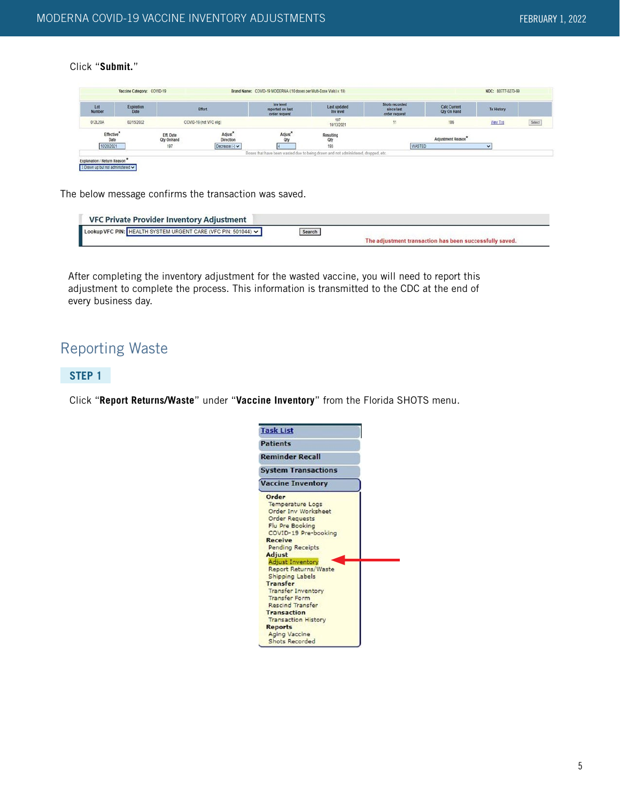#### Click "**Submit.**"

| Lot<br>Number                  | Expiration<br>Date |                         | Effort                                  | Inv level<br>reported on last<br>order request | Last updated<br>Inv level                                                          | Shots recorded<br>since last<br>order request | <b>Calc Current</b><br><b>Qty On Hand</b> | <b>Tx History</b>        |        |
|--------------------------------|--------------------|-------------------------|-----------------------------------------|------------------------------------------------|------------------------------------------------------------------------------------|-----------------------------------------------|-------------------------------------------|--------------------------|--------|
| 012L20A                        | 02/15/2022         |                         | COVID-19 (not VFC elig)                 |                                                | 197<br>10/13/2021                                                                  | 11                                            | 186                                       | <b>View Txs</b>          | Select |
| Effective <sup>1</sup><br>Date |                    | Eff. Date<br>Qty OnHand | Adjust <sup>*</sup><br><b>Direction</b> | Adjust <sup>*</sup><br>Qty                     | Resulting<br>Oty                                                                   |                                               | Adjustment Reason*                        |                          |        |
| 10/20/2021                     |                    | 197                     | Decrease $(\cdot)$ $\vee$               |                                                | 193                                                                                | <b>WASTED</b>                                 |                                           | $\overline{\phantom{a}}$ |        |
|                                |                    |                         |                                         |                                                | Doses that have been wasted due to being drawn and not administered, dropped, etc. |                                               |                                           |                          |        |

The below message confirms the transaction was saved.

| <b>VFC Private Provider Inventory Adjustment</b>              |        |                                                         |
|---------------------------------------------------------------|--------|---------------------------------------------------------|
| Lookup VFC PIN: HEALTH SYSTEM URGENT CARE (VFC PIN: 501044) v | Search |                                                         |
|                                                               |        | The adjustment transaction has been successfully saved. |

After completing the inventory adjustment for the wasted vaccine, you will need to report this adjustment to complete the process. This information is transmitted to the CDC at the end of every business day.

# Reporting Waste

# **STEP 1**

Click "**Report Returns/Waste**" under "**Vaccine Inventory**" from the Florida SHOTS menu.